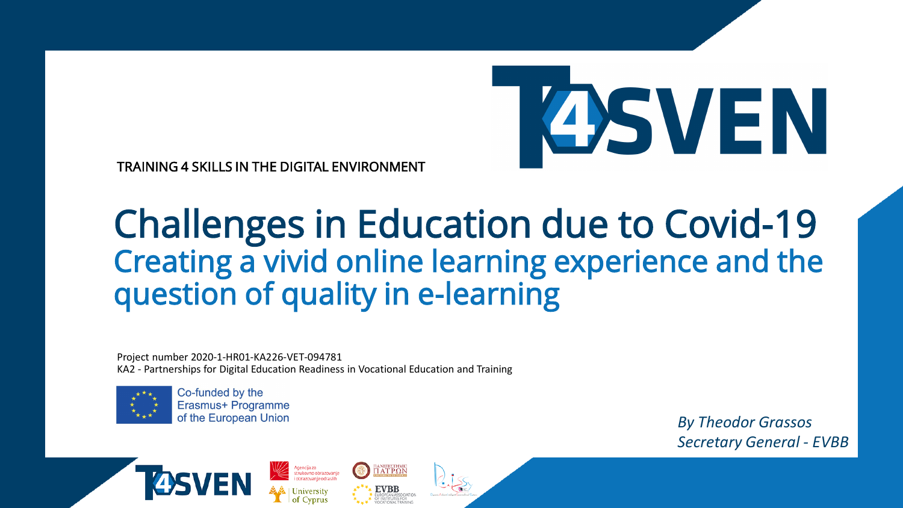

TRAINING 4 SKILLS IN THE DIGITAL ENVIRONMENT

# Challenges in Education due to Covid-19 Creating a vivid online learning experience and the question of quality in e-learning

Project number 2020-1-HR01-KA226-VET-094781 KA2 - Partnerships for Digital Education Readiness in Vocational Education and Training

Agencija za<br>strukovno obrazovanje<br>i obrazovanje odraslih

πaneπiethmic<br>ΠΑΤΡΩΝ



Co-funded by the Erasmus+ Programme of the European Union

*By Theodor Grassos Secretary General - EVBB*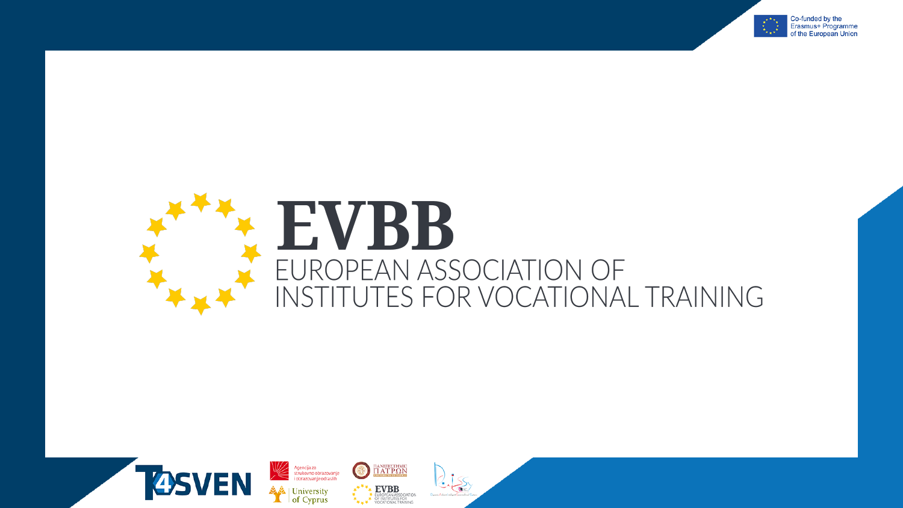

#### EVBB PEAN ASSOCIATION OF EI URO UTES FOR VOCATIONAL TRAINING **INST**

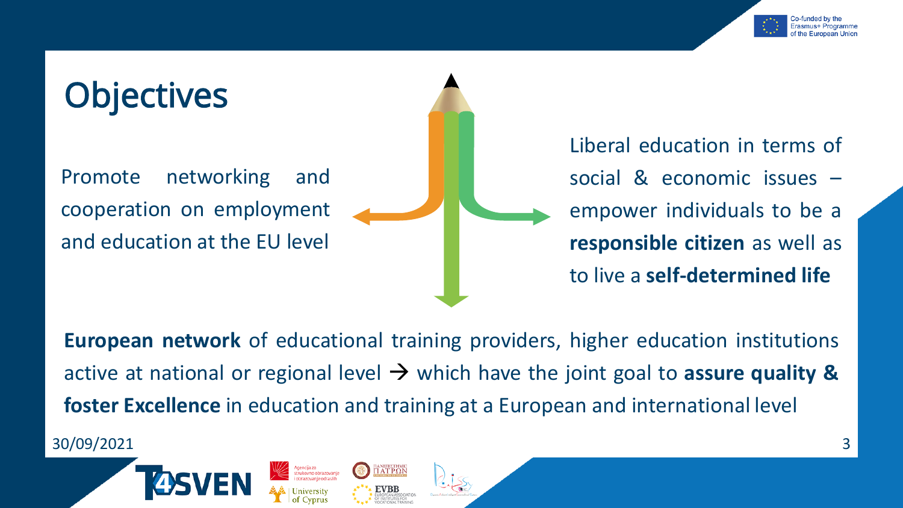

# **Objectives**

Promote networking and cooperation on employment and education at the EU level

Liberal education in terms of social & economic issues – empower individuals to be a **responsible citizen** as well as to live a **self-determined life**

**European network** of educational training providers, higher education institutions active at national or regional level  $\rightarrow$  which have the joint goal to **assure quality & foster Excellence** in education and training at a European and international level

30/09/2021 3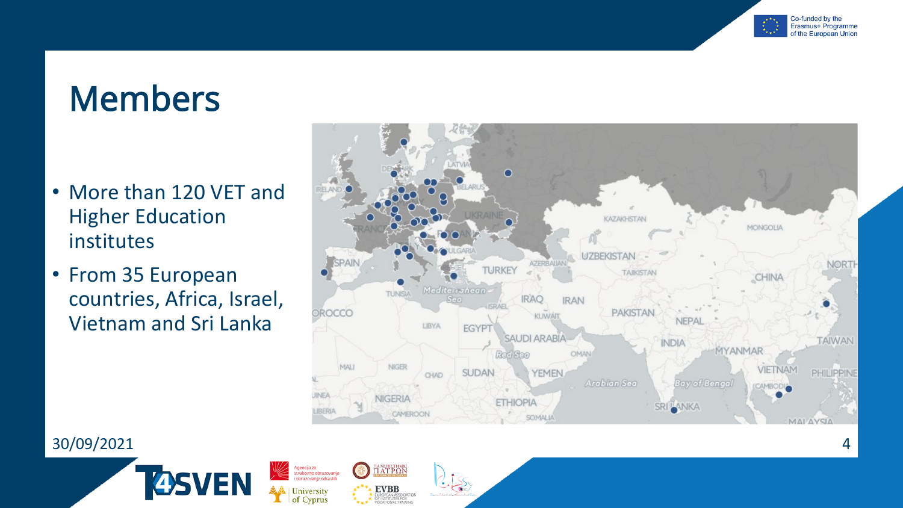

# Members

- More than 120 VET and Higher Education institutes
- From 35 European countries, Africa, Israel, Vietnam and Sri Lanka

**4S** 

VEN



 $\frac{\text{maximize} \text{HMC}}{\text{HAT P}\Omega\text{N}}$ 

**EVBB**<br>EUROPEAN ASSOCIATION<br>OF INSTITUTES FOR<br>VOCATIONAL TRAINING

Agencija za<br>strukovno obrazovanje<br>i obrazovanje odraslih

University of Cyprus

#### 30/09/2021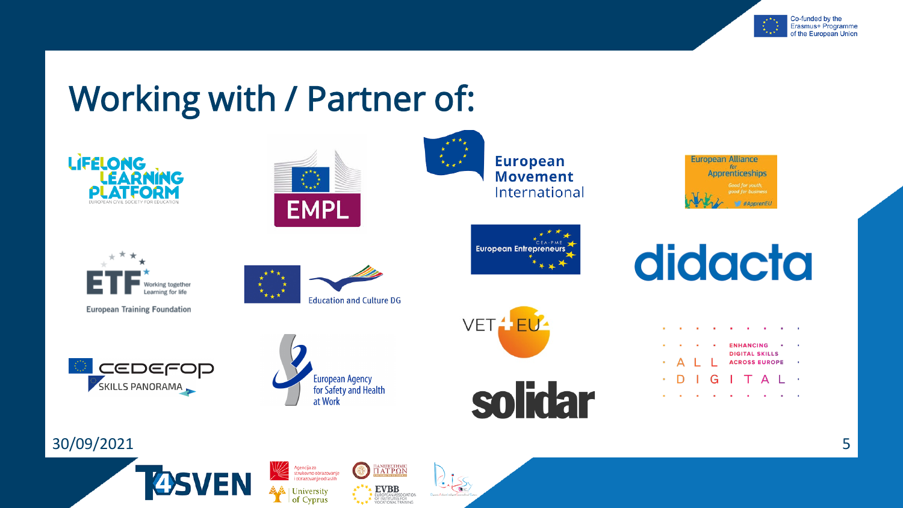

# Working with / Partner of:



**EVBB** 

EUROPEAN ASSOCIATIO<br>OF INSTITUTES FOR<br>VOCATIONAL TRAINING

**University** 

of Cyprus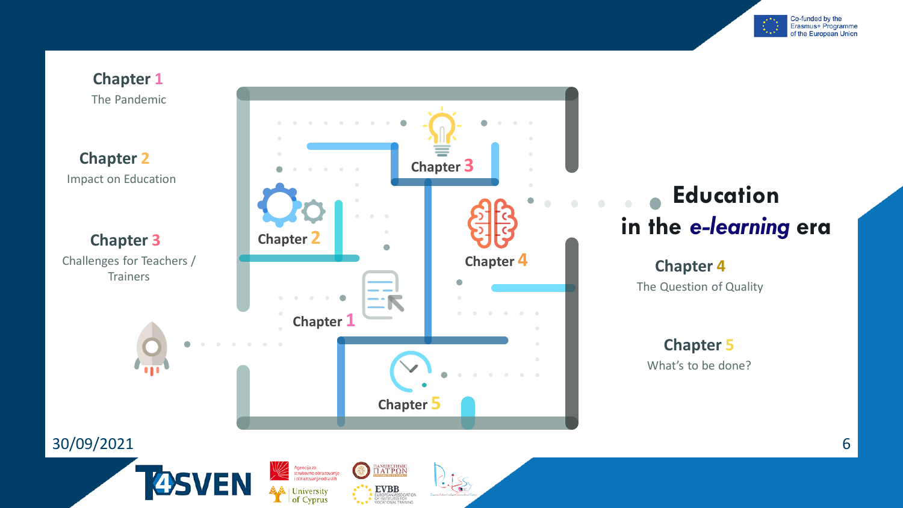

**Chapter 1** The Pandemic

**Chapter 2** Impact on Education

**Chapter 3** Challenges for Teachers /



Agencija za<br>strukovno obrazovanje<br>i obrazovanje odraslih

| University of Cyprus

EN

 $\frac{\prod A N E \prod E \prod M C}{\prod A \prod P \Omega N}$ 

EVBB<br>EUROPEAN ASSOCIATION<br>VOCATIONAL TRAINING

 $\bigodot$ 

# **Education**

# The Question of Quality

**Chapter 5** What's to be done?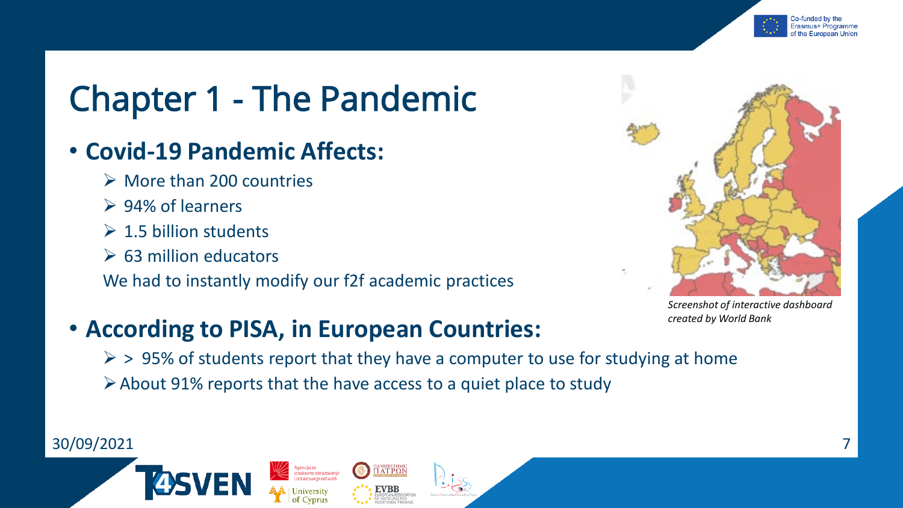

# Chapter 1 - The Pandemic

## • **Covid-19 Pandemic Affects:**

- $\triangleright$  More than 200 countries
- **► 94% of learners**
- $\geq 1.5$  billion students
- $\triangleright$  63 million educators

We had to instantly modify our f2f academic practices



*Screenshot of interactive dashboard created by World Bank*

## • **According to PISA, in European Countries:**

Agencija za<br>strukovno obrazovanje<br>i obrazovanje odraslih

 $\geq$  > 95% of students report that they have a computer to use for studying at home

About 91% reports that the have access to a quiet place to study

ianetiezthmic<br>T AT P Q N

EVBB

#### 30/09/2021 7

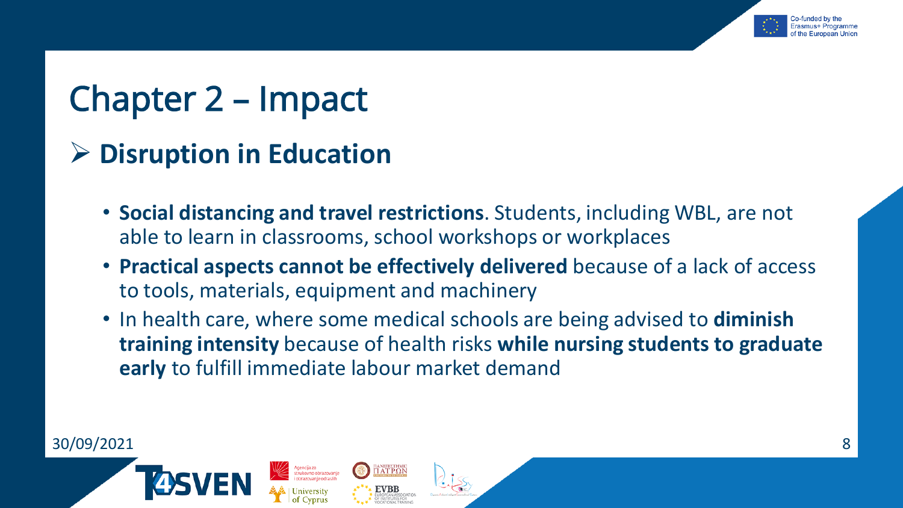

# Chapter 2 – Impact

**Disruption in Education**

- **Social distancing and travel restrictions**. Students, including WBL, are not able to learn in classrooms, school workshops or workplaces
- **Practical aspects cannot be effectively delivered** because of a lack of access to tools, materials, equipment and machinery
- In health care, where some medical schools are being advised to **diminish training intensity** because of health risks **while nursing students to graduate early** to fulfill immediate labour market demand

ianetiezthmic<br>T AT P O N

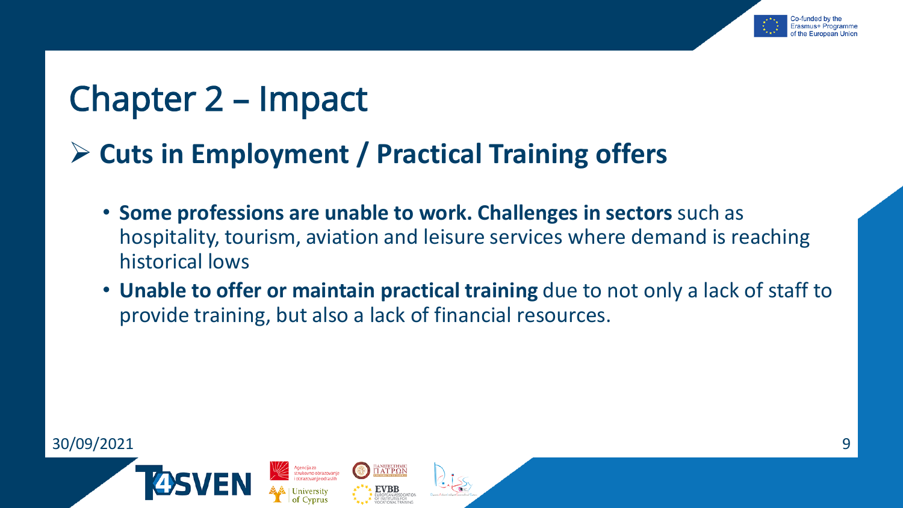

# Chapter 2 – Impact

## **Cuts in Employment / Practical Training offers**

ianeπiethmic<br>T AT PΩN

- **Some professions are unable to work. Challenges in sectors** such as hospitality, tourism, aviation and leisure services where demand is reaching historical lows
- **Unable to offer or maintain practical training** due to not only a lack of staff to provide training, but also a lack of financial resources.

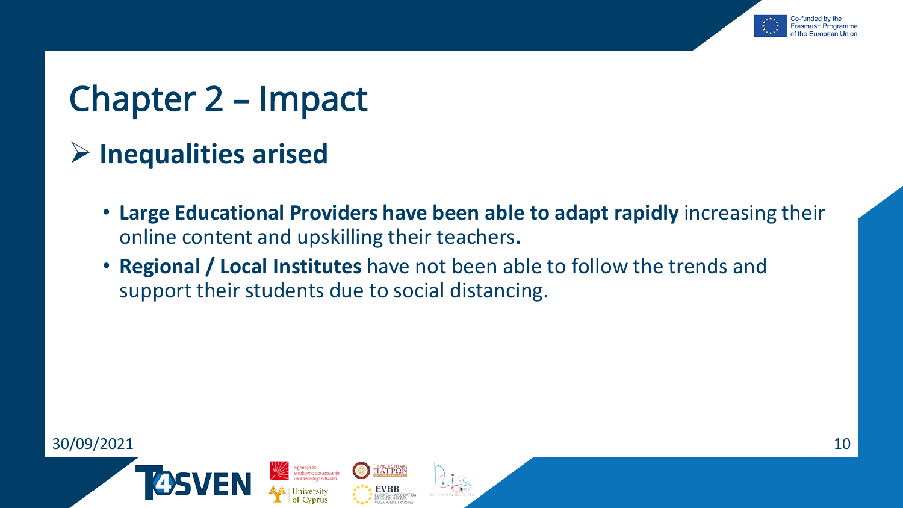

# Chapter 2 – Impact

- **Inequalities arised**
	- **Large Educational Providers have been able to adapt rapidly** increasing their online content and upskilling their teachers**.**
	- **Regional / Local Institutes** have not been able to follow the trends and support their students due to social distancing.

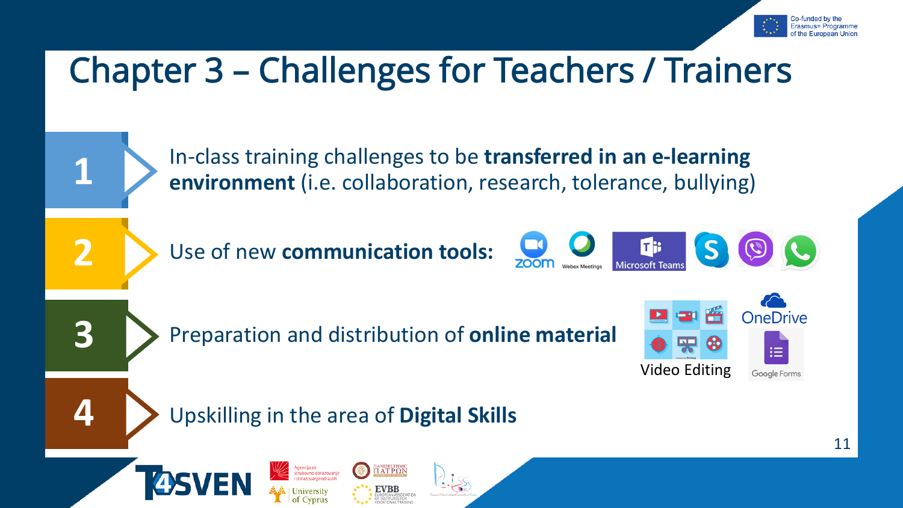

# Chapter 3 – Challenges for Teachers / Trainers

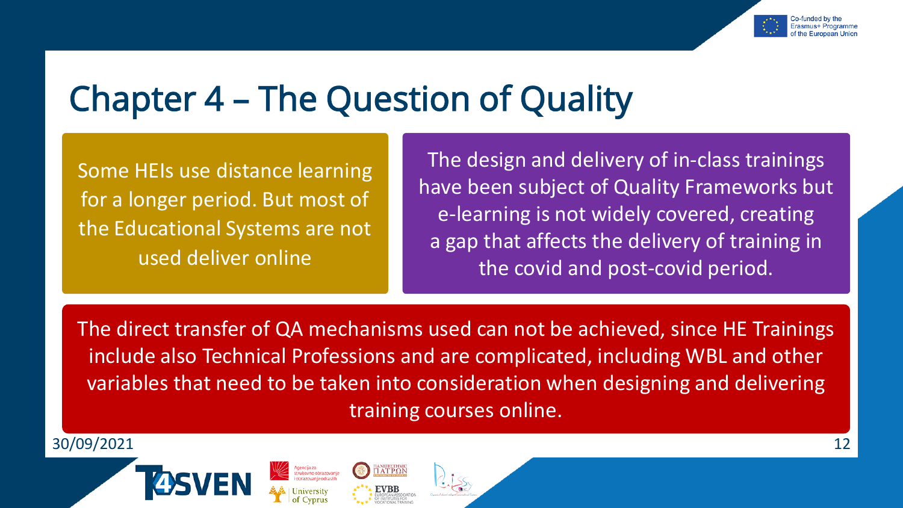

# Chapter 4 – The Question of Quality

Some HEIs use distance learning for a longer period. But most of the Educational Systems are not used deliver online

The design and delivery of in-class trainings have been subject of Quality Frameworks but e-learning is not widely covered, creating a gap that affects the delivery of training in the covid and post-covid period.

The direct transfer of QA mechanisms used can not be achieved, since HE Trainings include also Technical Professions and are complicated, including WBL and other variables that need to be taken into consideration when designing and delivering training courses online.

30/09/2021 12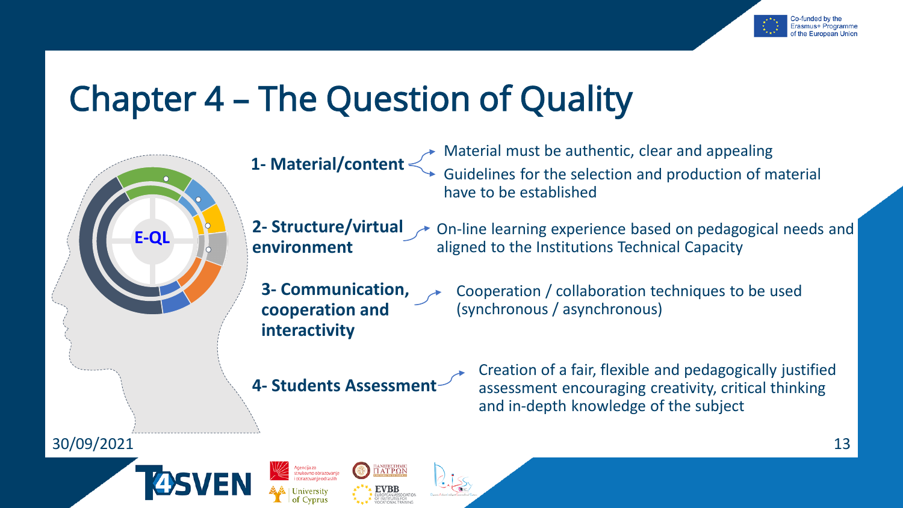

# Chapter 4 – The Question of Quality



**1- Material/content**

Material must be authentic, clear and appealing Guidelines for the selection and production of material have to be established

**2- Structure/virtual environment**

On-line learning experience based on pedagogical needs and aligned to the Institutions Technical Capacity

- **3- Communication, cooperation and interactivity**
- Cooperation / collaboration techniques to be used (synchronous / asynchronous)

**4- Students Assessment** 

aneπiΣthmic<br>I AT PΩN

Creation of a fair, flexible and pedagogically justified assessment encouraging creativity, critical thinking and in-depth knowledge of the subject

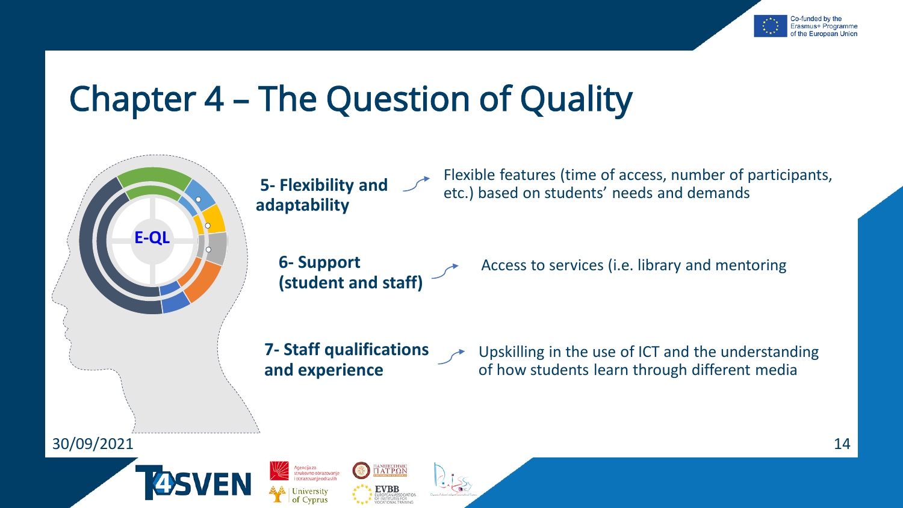

# Chapter 4 – The Question of Quality



**5- Flexibility and adaptability**

> **6- Support (student and staff)**

Flexible features (time of access, number of participants, etc.) based on students' needs and demands

Access to services (i.e. library and mentoring

**7- Staff qualifications and experience**

πaneπiethmic<br>ΠΑΤΡΩΝ

**EVBB** 

Upskilling in the use of ICT and the understanding of how students learn through different media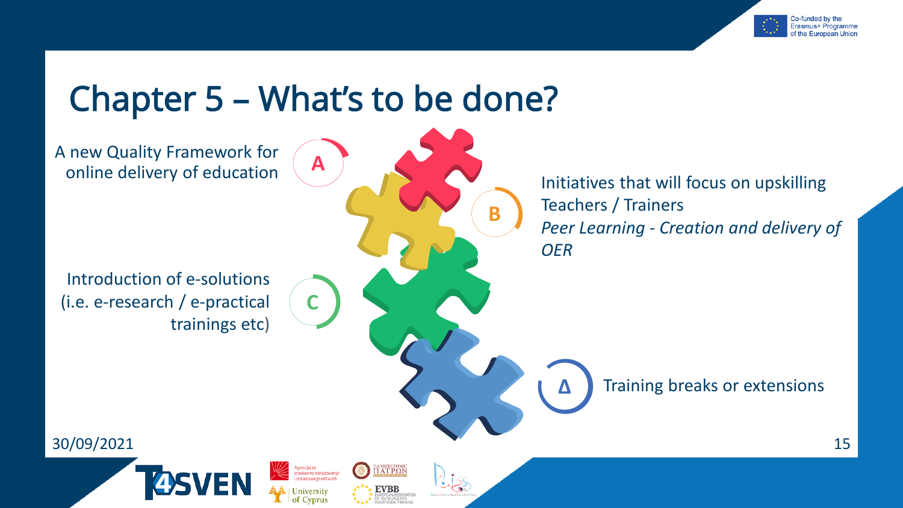

# Chapter 5 – What's to be done?

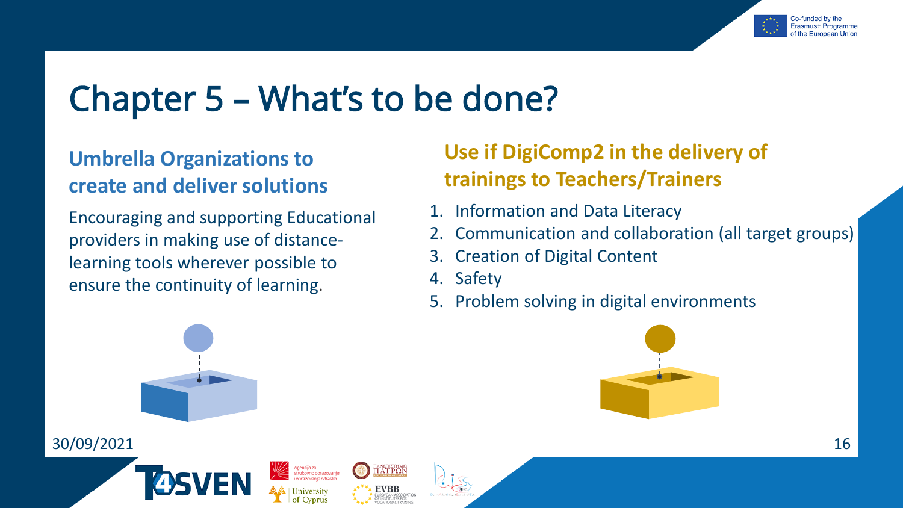

# Chapter 5 – What's to be done?

#### **Umbrella Organizations to create and deliver solutions**

Encouraging and supporting Educational providers in making use of distancelearning tools wherever possible to ensure the continuity of learning.

### **Use if DigiComp2 in the delivery of trainings to Teachers/Trainers**

- 1. Information and Data Literacy
- 2. Communication and collaboration (all target groups)
- 3. Creation of Digital Content
- 4. Safety

πaneπiethmic<br>ΠΑΤΡΩΝ

**EVBB** 

Agencija za<br>strukovno obrazovanje<br>i obrazovanje odraslih

5. Problem solving in digital environments